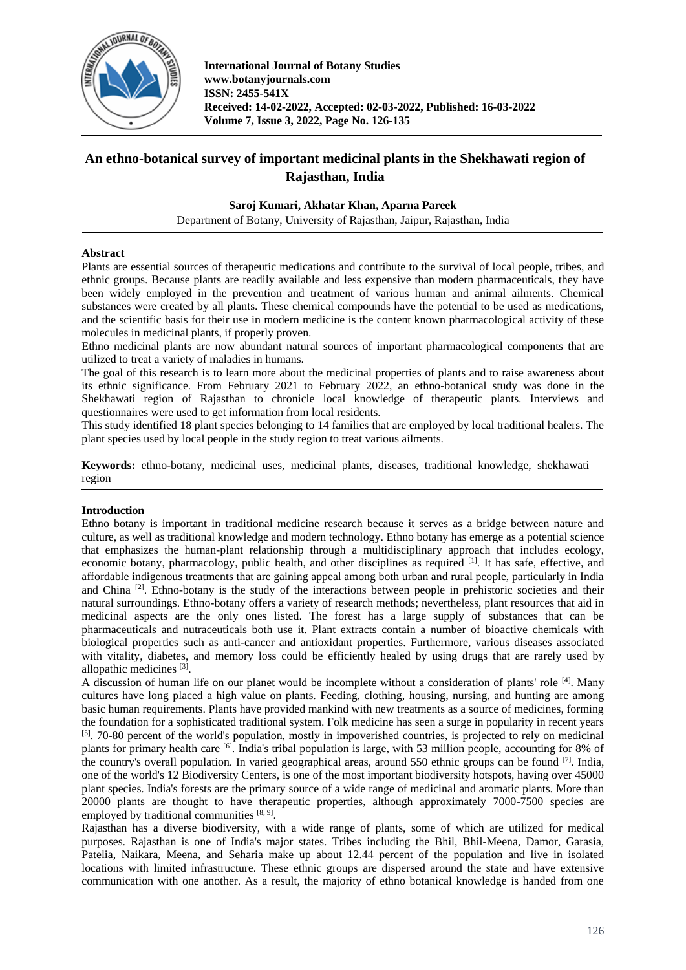

# **An ethno-botanical survey of important medicinal plants in the Shekhawati region of Rajasthan, India**

### **Saroj Kumari, Akhatar Khan, Aparna Pareek**

Department of Botany, University of Rajasthan, Jaipur, Rajasthan, India

### **Abstract**

Plants are essential sources of therapeutic medications and contribute to the survival of local people, tribes, and ethnic groups. Because plants are readily available and less expensive than modern pharmaceuticals, they have been widely employed in the prevention and treatment of various human and animal ailments. Chemical substances were created by all plants. These chemical compounds have the potential to be used as medications, and the scientific basis for their use in modern medicine is the content known pharmacological activity of these molecules in medicinal plants, if properly proven.

Ethno medicinal plants are now abundant natural sources of important pharmacological components that are utilized to treat a variety of maladies in humans.

The goal of this research is to learn more about the medicinal properties of plants and to raise awareness about its ethnic significance. From February 2021 to February 2022, an ethno-botanical study was done in the Shekhawati region of Rajasthan to chronicle local knowledge of therapeutic plants. Interviews and questionnaires were used to get information from local residents.

This study identified 18 plant species belonging to 14 families that are employed by local traditional healers. The plant species used by local people in the study region to treat various ailments.

**Keywords:** ethno-botany, medicinal uses, medicinal plants, diseases, traditional knowledge, shekhawati region

### **Introduction**

Ethno botany is important in traditional medicine research because it serves as a bridge between nature and culture, as well as traditional knowledge and modern technology. Ethno botany has emerge as a potential science that emphasizes the human-plant relationship through a multidisciplinary approach that includes ecology, economic botany, pharmacology, public health, and other disciplines as required [1]. It has safe, effective, and affordable indigenous treatments that are gaining appeal among both urban and rural people, particularly in India and China  $[2]$ . Ethno-botany is the study of the interactions between people in prehistoric societies and their natural surroundings. Ethno-botany offers a variety of research methods; nevertheless, plant resources that aid in medicinal aspects are the only ones listed. The forest has a large supply of substances that can be pharmaceuticals and nutraceuticals both use it. Plant extracts contain a number of bioactive chemicals with biological properties such as anti-cancer and antioxidant properties. Furthermore, various diseases associated with vitality, diabetes, and memory loss could be efficiently healed by using drugs that are rarely used by allopathic medicines [3].

A discussion of human life on our planet would be incomplete without a consideration of plants' role <sup>[4]</sup>. Many cultures have long placed a high value on plants. Feeding, clothing, housing, nursing, and hunting are among basic human requirements. Plants have provided mankind with new treatments as a source of medicines, forming the foundation for a sophisticated traditional system. Folk medicine has seen a surge in popularity in recent years [5]. 70-80 percent of the world's population, mostly in impoverished countries, is projected to rely on medicinal plants for primary health care <sup>[6]</sup>. India's tribal population is large, with 53 million people, accounting for 8% of the country's overall population. In varied geographical areas, around 550 ethnic groups can be found <sup>[7]</sup>. India, one of the world's 12 Biodiversity Centers, is one of the most important biodiversity hotspots, having over 45000 plant species. India's forests are the primary source of a wide range of medicinal and aromatic plants. More than 20000 plants are thought to have therapeutic properties, although approximately 7000-7500 species are employed by traditional communities  $[8, 9]$ .

Rajasthan has a diverse biodiversity, with a wide range of plants, some of which are utilized for medical purposes. Rajasthan is one of India's major states. Tribes including the Bhil, Bhil-Meena, Damor, Garasia, Patelia, Naikara, Meena, and Seharia make up about 12.44 percent of the population and live in isolated locations with limited infrastructure. These ethnic groups are dispersed around the state and have extensive communication with one another. As a result, the majority of ethno botanical knowledge is handed from one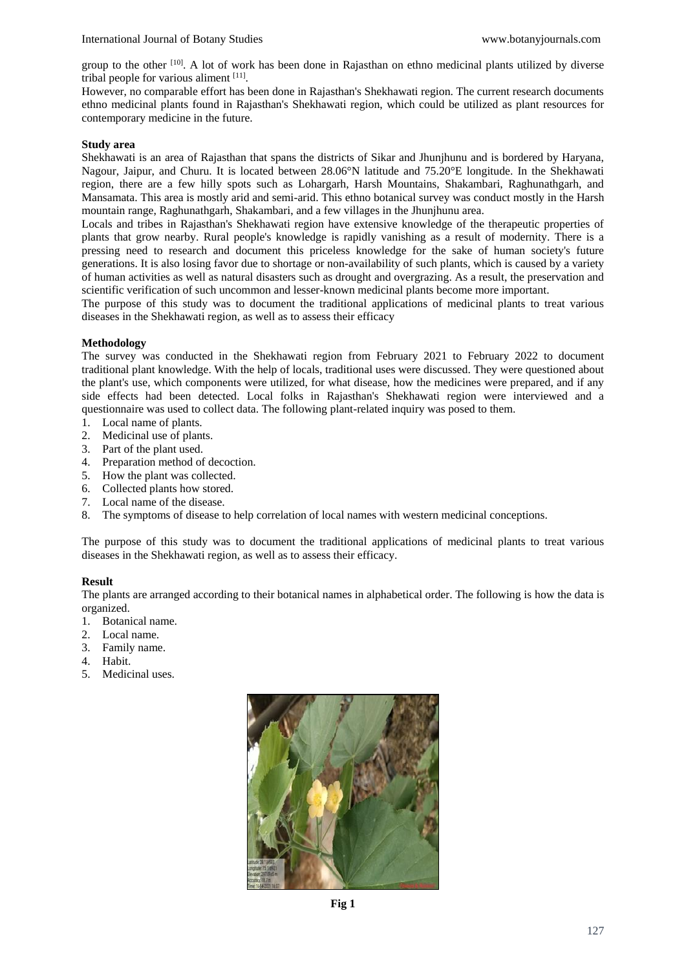group to the other <sup>[10]</sup>. A lot of work has been done in Rajasthan on ethno medicinal plants utilized by diverse tribal people for various aliment  $[11]$ .

However, no comparable effort has been done in Rajasthan's Shekhawati region. The current research documents ethno medicinal plants found in Rajasthan's Shekhawati region, which could be utilized as plant resources for contemporary medicine in the future.

## **Study area**

Shekhawati is an area of Rajasthan that spans the districts of Sikar and Jhunjhunu and is bordered by Haryana, Nagour, Jaipur, and Churu. It is located between 28.06°N latitude and 75.20°E longitude. In the Shekhawati region, there are a few hilly spots such as Lohargarh, Harsh Mountains, Shakambari, Raghunathgarh, and Mansamata. This area is mostly arid and semi-arid. This ethno botanical survey was conduct mostly in the Harsh mountain range, Raghunathgarh, Shakambari, and a few villages in the Jhunjhunu area.

Locals and tribes in Rajasthan's Shekhawati region have extensive knowledge of the therapeutic properties of plants that grow nearby. Rural people's knowledge is rapidly vanishing as a result of modernity. There is a pressing need to research and document this priceless knowledge for the sake of human society's future generations. It is also losing favor due to shortage or non-availability of such plants, which is caused by a variety of human activities as well as natural disasters such as drought and overgrazing. As a result, the preservation and scientific verification of such uncommon and lesser-known medicinal plants become more important.

The purpose of this study was to document the traditional applications of medicinal plants to treat various diseases in the Shekhawati region, as well as to assess their efficacy

## **Methodology**

The survey was conducted in the Shekhawati region from February 2021 to February 2022 to document traditional plant knowledge. With the help of locals, traditional uses were discussed. They were questioned about the plant's use, which components were utilized, for what disease, how the medicines were prepared, and if any side effects had been detected. Local folks in Rajasthan's Shekhawati region were interviewed and a questionnaire was used to collect data. The following plant-related inquiry was posed to them.

- 1. Local name of plants.
- 2. Medicinal use of plants.
- 3. Part of the plant used.
- 4. Preparation method of decoction.
- 5. How the plant was collected.
- 6. Collected plants how stored.
- 7. Local name of the disease.
- 8. The symptoms of disease to help correlation of local names with western medicinal conceptions.

The purpose of this study was to document the traditional applications of medicinal plants to treat various diseases in the Shekhawati region, as well as to assess their efficacy.

# **Result**

The plants are arranged according to their botanical names in alphabetical order. The following is how the data is organized.

- 1. Botanical name.
- 2. Local name.
- 3. Family name.
- 4. Habit.
- 5. Medicinal uses.

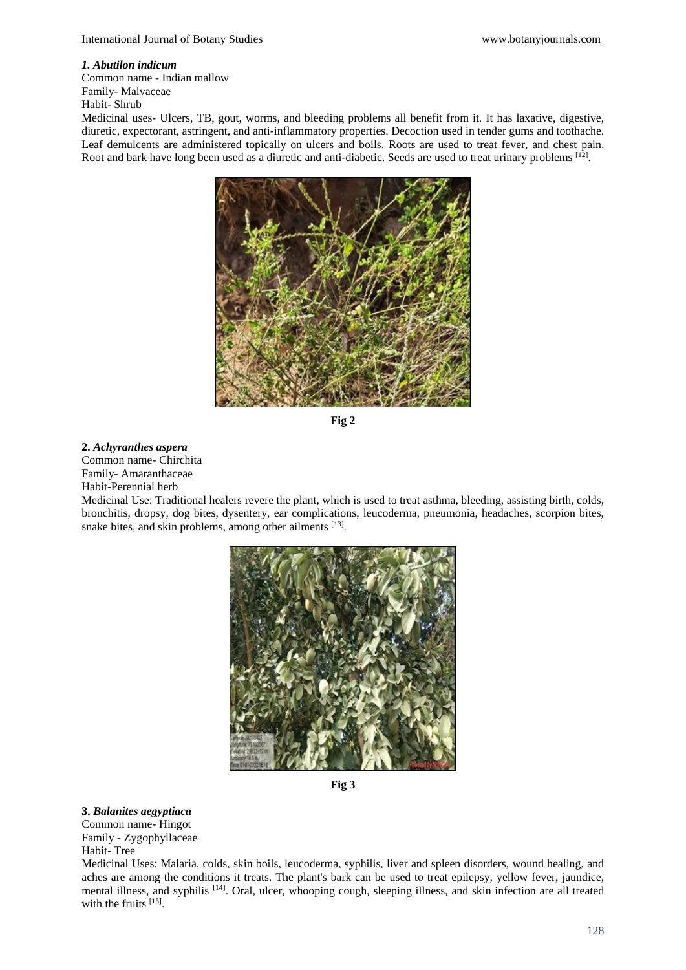### *1. Abutilon indicum*

Common name - Indian mallow Family- Malvaceae Habit- Shrub

Medicinal uses- Ulcers, TB, gout, worms, and bleeding problems all benefit from it. It has laxative, digestive, diuretic, expectorant, astringent, and anti-inflammatory properties. Decoction used in tender gums and toothache. Leaf demulcents are administered topically on ulcers and boils. Roots are used to treat fever, and chest pain. Root and bark have long been used as a diuretic and anti-diabetic. Seeds are used to treat urinary problems  $^{[12]}$ .



**Fig 2**

#### **2.** *Achyranthes aspera*

Common name- Chirchita Family- Amaranthaceae

Habit-Perennial herb

Medicinal Use: Traditional healers revere the plant, which is used to treat asthma, bleeding, assisting birth, colds, bronchitis, dropsy, dog bites, dysentery, ear complications, leucoderma, pneumonia, headaches, scorpion bites, snake bites, and skin problems, among other ailments [13].



**Fig 3**

# **3.** *Balanites aegyptiaca*

Common name- Hingot Family - Zygophyllaceae Habit- Tree

Medicinal Uses: Malaria, colds, skin boils, leucoderma, syphilis, liver and spleen disorders, wound healing, and aches are among the conditions it treats. The plant's bark can be used to treat epilepsy, yellow fever, jaundice, mental illness, and syphilis <a>[14]</a>. Oral, ulcer, whooping cough, sleeping illness, and skin infection are all treated with the fruits [15].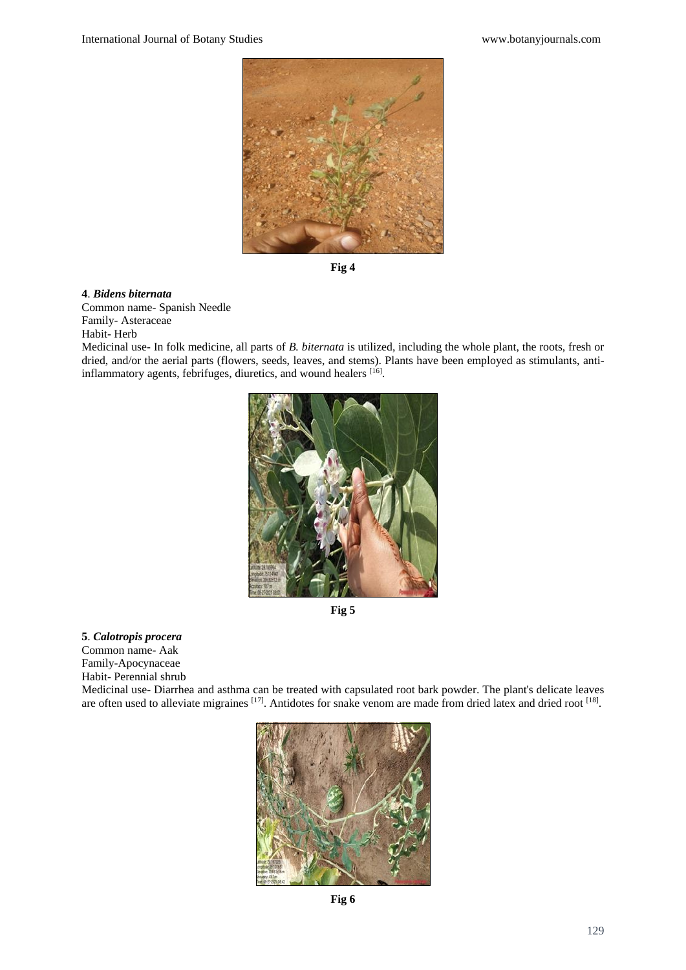

**Fig 4**

### **4**. *Bidens biternata*

Common name- Spanish Needle Family- Asteraceae Habit- Herb

Medicinal use- In folk medicine, all parts of *B. biternata* is utilized, including the whole plant, the roots, fresh or dried, and/or the aerial parts (flowers, seeds, leaves, and stems). Plants have been employed as stimulants, antiinflammatory agents, febrifuges, diuretics, and wound healers [16].



**Fig 5**

### **5**. *Calotropis procera*

Common name- Aak

Family-Apocynaceae

Habit- Perennial shrub

Medicinal use- Diarrhea and asthma can be treated with capsulated root bark powder. The plant's delicate leaves are often used to alleviate migraines  $[17]$ . Antidotes for snake venom are made from dried latex and dried root  $[18]$ .



**Fig 6**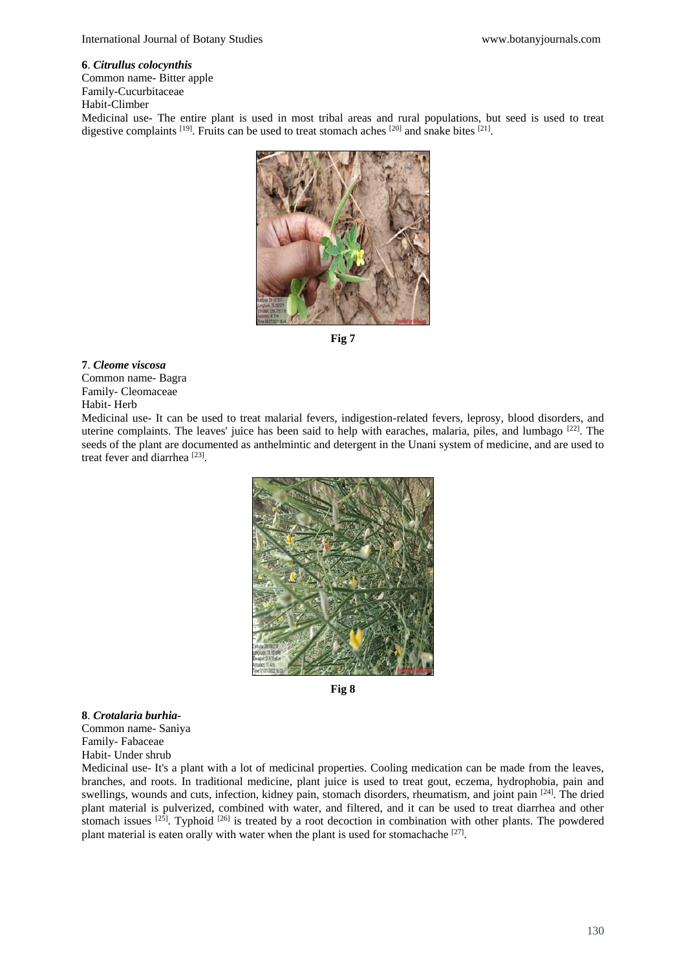#### **6**. *Citrullus colocynthis*

Common name- Bitter apple Family-Cucurbitaceae

Habit-Climber

Medicinal use- The entire plant is used in most tribal areas and rural populations, but seed is used to treat digestive complaints  $^{[19]}$ . Fruits can be used to treat stomach aches  $^{[20]}$  and snake bites  $^{[21]}$ .



**Fig 7**

### **7**. *Cleome viscosa*

Common name- Bagra Family- Cleomaceae Habit- Herb

Medicinal use- It can be used to treat malarial fevers, indigestion-related fevers, leprosy, blood disorders, and uterine complaints. The leaves' juice has been said to help with earaches, malaria, piles, and lumbago [22]. The seeds of the plant are documented as anthelmintic and detergent in the Unani system of medicine, and are used to treat fever and diarrhea<sup>[23]</sup>.



**Fig 8**

**8**. *Crotalaria burhia-*Common name- Saniya Family- Fabaceae Habit- Under shrub

Medicinal use- It's a plant with a lot of medicinal properties. Cooling medication can be made from the leaves, branches, and roots. In traditional medicine, plant juice is used to treat gout, eczema, hydrophobia, pain and swellings, wounds and cuts, infection, kidney pain, stomach disorders, rheumatism, and joint pain <sup>[24]</sup>. The dried plant material is pulverized, combined with water, and filtered, and it can be used to treat diarrhea and other stomach issues  $[25]$ . Typhoid  $[26]$  is treated by a root decoction in combination with other plants. The powdered plant material is eaten orally with water when the plant is used for stomachache [27].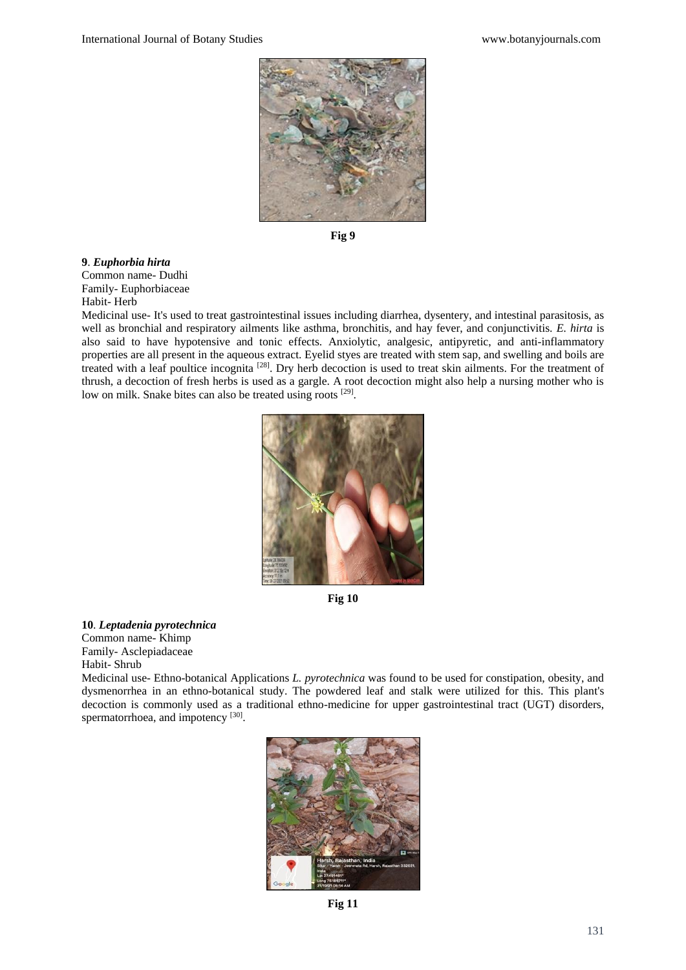

**Fig 9**

**9**. *Euphorbia hirta* Common name- Dudhi Family- Euphorbiaceae Habit- Herb

Medicinal use- It's used to treat gastrointestinal issues including diarrhea, dysentery, and intestinal parasitosis, as well as bronchial and respiratory ailments like asthma, bronchitis, and hay fever, and conjunctivitis. *E. hirta* is also said to have hypotensive and tonic effects. Anxiolytic, analgesic, antipyretic, and anti-inflammatory properties are all present in the aqueous extract. Eyelid styes are treated with stem sap, and swelling and boils are treated with a leaf poultice incognita<sup>[28]</sup>. Dry herb decoction is used to treat skin ailments. For the treatment of thrush, a decoction of fresh herbs is used as a gargle. A root decoction might also help a nursing mother who is low on milk. Snake bites can also be treated using roots [29].



**Fig 10**

**10**. *Leptadenia pyrotechnica*

Common name- Khimp Family- Asclepiadaceae Habit- Shrub

Medicinal use- Ethno-botanical Applications *L. pyrotechnica* was found to be used for constipation, obesity, and dysmenorrhea in an ethno-botanical study. The powdered leaf and stalk were utilized for this. This plant's decoction is commonly used as a traditional ethno-medicine for upper gastrointestinal tract (UGT) disorders, spermatorrhoea, and impotency [30].



**Fig 11**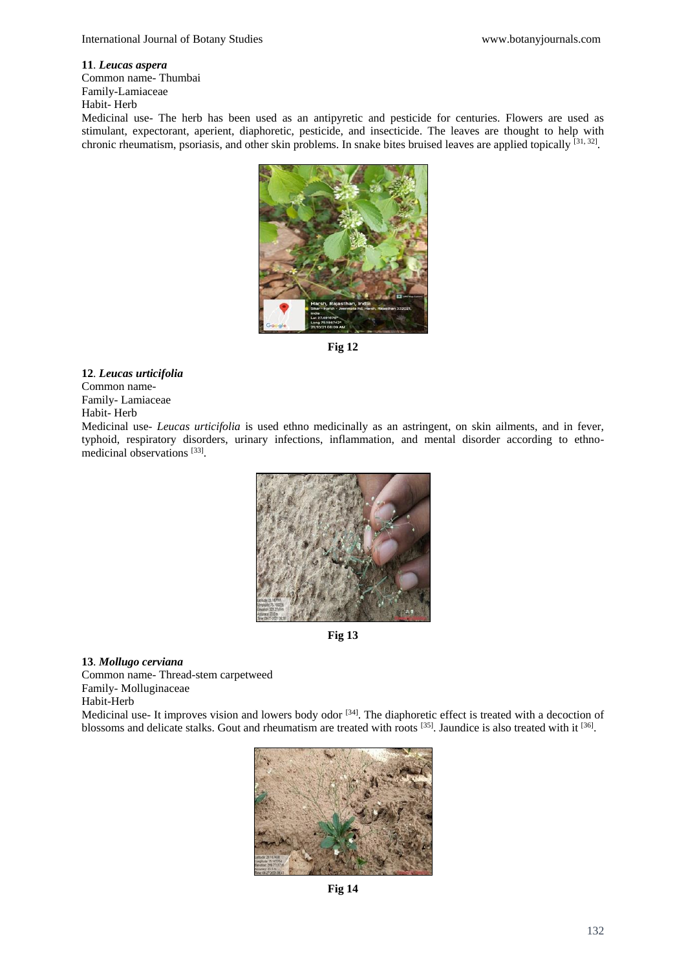#### **11**. *Leucas aspera*

Common name- Thumbai Family-Lamiaceae Habit- Herb

Medicinal use- The herb has been used as an antipyretic and pesticide for centuries. Flowers are used as stimulant, expectorant, aperient, diaphoretic, pesticide, and insecticide. The leaves are thought to help with chronic rheumatism, psoriasis, and other skin problems. In snake bites bruised leaves are applied topically [31, 32].



**Fig 12**

# **12**. *Leucas urticifolia*

Common name-Family- Lamiaceae

Habit- Herb

Medicinal use- *Leucas urticifolia* is used ethno medicinally as an astringent, on skin ailments, and in fever, typhoid, respiratory disorders, urinary infections, inflammation, and mental disorder according to ethnomedicinal observations<sup>[33]</sup>.



**Fig 13**

### **13**. *Mollugo cerviana*

Common name- Thread-stem carpetweed Family- Molluginaceae Habit-Herb

Medicinal use- It improves vision and lowers body odor [34]. The diaphoretic effect is treated with a decoction of blossoms and delicate stalks. Gout and rheumatism are treated with roots  $^{[35]}$ . Jaundice is also treated with it  $^{[36]}$ .



**Fig 14**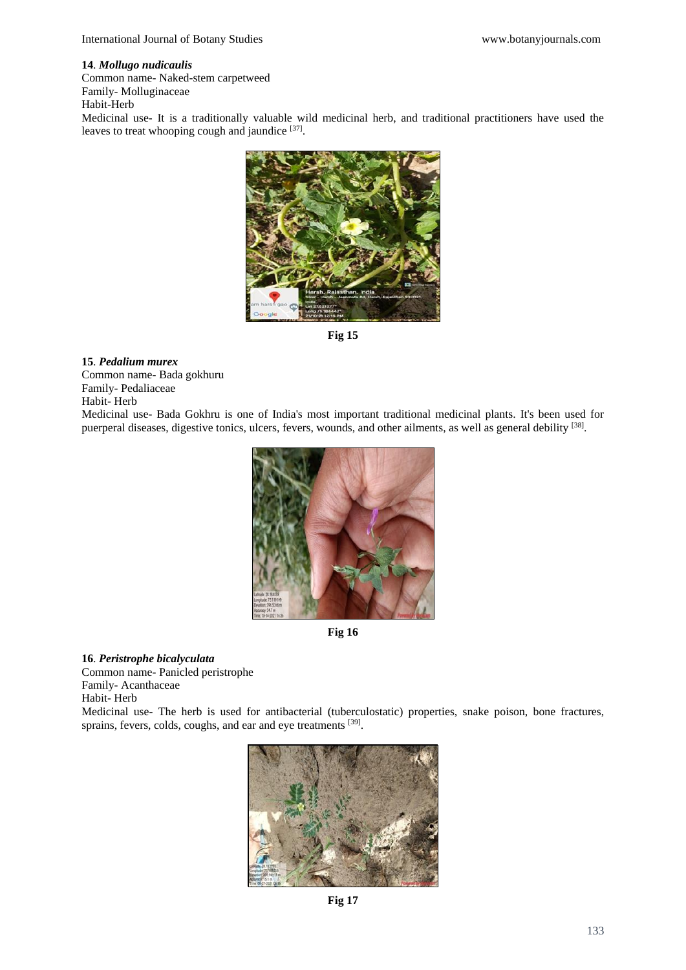### **14**. *Mollugo nudicaulis*

Common name- Naked-stem carpetweed Family- Molluginaceae

Habit-Herb

Medicinal use- It is a traditionally valuable wild medicinal herb, and traditional practitioners have used the leaves to treat whooping cough and jaundice [37].



**Fig 15**

### **15**. *Pedalium murex*

Common name- Bada gokhuru Family- Pedaliaceae Habit- Herb

Medicinal use- Bada Gokhru is one of India's most important traditional medicinal plants. It's been used for puerperal diseases, digestive tonics, ulcers, fevers, wounds, and other ailments, as well as general debility [38].



**Fig 16**

**16**. *Peristrophe bicalyculata*

Common name- Panicled peristrophe Family- Acanthaceae Habit- Herb Medicinal use- The herb is used for antibacterial (tuberculostatic) properties, snake poison, bone fractures, sprains, fevers, colds, coughs, and ear and eye treatments [39].



**Fig 17**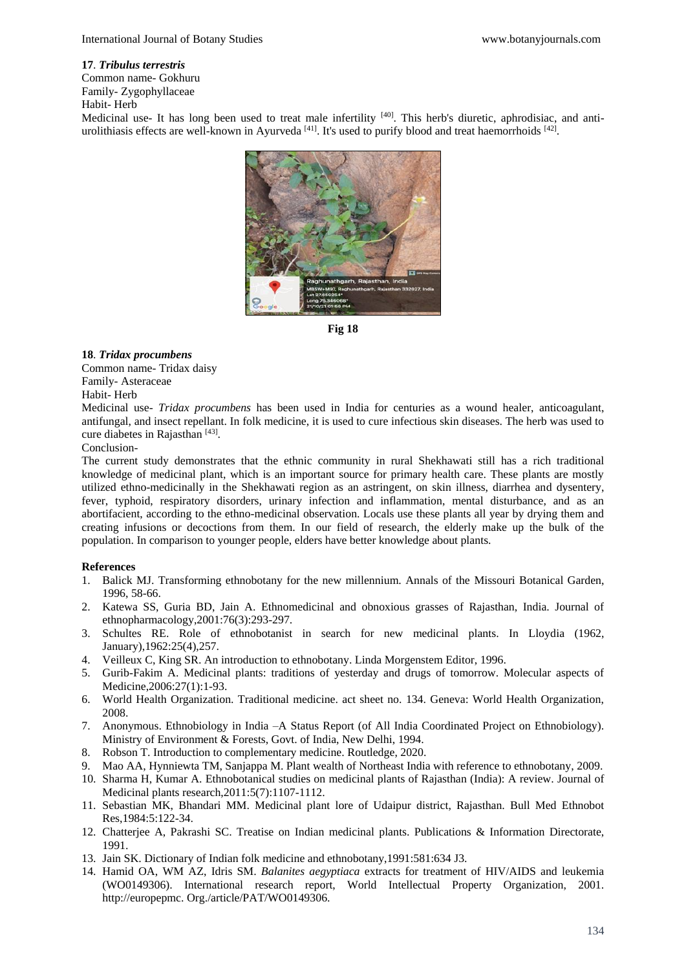### **17**. *Tribulus terrestris*

Common name- Gokhuru

Family- Zygophyllaceae Habit- Herb

Medicinal use- It has long been used to treat male infertility <sup>[40]</sup>. This herb's diuretic, aphrodisiac, and antiurolithiasis effects are well-known in Ayurveda<sup>[41]</sup>. It's used to purify blood and treat haemorrhoids  $^{[42]}$ .



**Fig 18**

## **18**. *Tridax procumbens*

Common name- Tridax daisy Family- Asteraceae Habit- Herb

Medicinal use*- Tridax procumbens* has been used in India for centuries as a wound healer, anticoagulant, antifungal, and insect repellant. In folk medicine, it is used to cure infectious skin diseases. The herb was used to cure diabetes in Rajasthan [43].

### Conclusion-

The current study demonstrates that the ethnic community in rural Shekhawati still has a rich traditional knowledge of medicinal plant, which is an important source for primary health care. These plants are mostly utilized ethno-medicinally in the Shekhawati region as an astringent, on skin illness, diarrhea and dysentery, fever, typhoid, respiratory disorders, urinary infection and inflammation, mental disturbance, and as an abortifacient, according to the ethno-medicinal observation. Locals use these plants all year by drying them and creating infusions or decoctions from them. In our field of research, the elderly make up the bulk of the population. In comparison to younger people, elders have better knowledge about plants.

### **References**

- 1. Balick MJ. Transforming ethnobotany for the new millennium. Annals of the Missouri Botanical Garden, 1996, 58-66.
- 2. Katewa SS, Guria BD, Jain A. Ethnomedicinal and obnoxious grasses of Rajasthan, India. Journal of ethnopharmacology,2001:76(3):293-297.
- 3. Schultes RE. Role of ethnobotanist in search for new medicinal plants. In Lloydia (1962, January),1962:25(4),257.
- 4. Veilleux C, King SR. An introduction to ethnobotany. Linda Morgenstem Editor, 1996.
- 5. Gurib-Fakim A. Medicinal plants: traditions of yesterday and drugs of tomorrow. Molecular aspects of Medicine,2006:27(1):1-93.
- 6. World Health Organization. Traditional medicine. act sheet no. 134. Geneva: World Health Organization, 2008.
- 7. Anonymous. Ethnobiology in India –A Status Report (of All India Coordinated Project on Ethnobiology). Ministry of Environment & Forests, Govt. of India, New Delhi, 1994.
- 8. Robson T. Introduction to complementary medicine. Routledge, 2020.
- 9. Mao AA, Hynniewta TM, Sanjappa M. Plant wealth of Northeast India with reference to ethnobotany, 2009.
- 10. Sharma H, Kumar A. Ethnobotanical studies on medicinal plants of Rajasthan (India): A review. Journal of Medicinal plants research,2011:5(7):1107-1112.
- 11. Sebastian MK, Bhandari MM. Medicinal plant lore of Udaipur district, Rajasthan. Bull Med Ethnobot Res,1984:5:122-34.
- 12. Chatterjee A, Pakrashi SC. Treatise on Indian medicinal plants. Publications & Information Directorate, 1991.
- 13. Jain SK. Dictionary of Indian folk medicine and ethnobotany,1991:581:634 J3.
- 14. Hamid OA, WM AZ, Idris SM. *Balanites aegyptiaca* extracts for treatment of HIV/AIDS and leukemia (WO0149306). International research report, World Intellectual Property Organization, 2001. http://europepmc. Org./article/PAT/WO0149306.